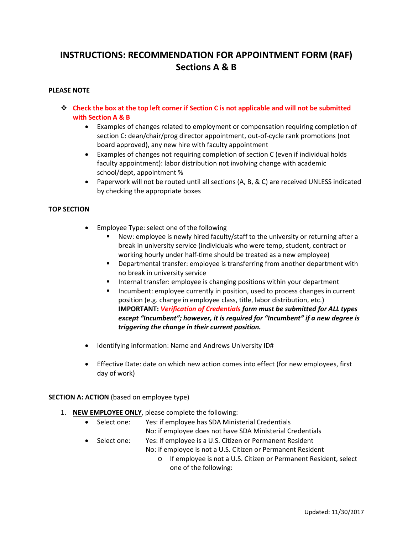### **INSTRUCTIONS: RECOMMENDATION FOR APPOINTMENT FORM (RAF) Sections A & B**

#### **PLEASE NOTE**

- **Check the box at the top left corner if Section C is not applicable and will not be submitted with Section A & B**
	- Examples of changes related to employment or compensation requiring completion of section C: dean/chair/prog director appointment, out-of-cycle rank promotions (not board approved), any new hire with faculty appointment
	- Examples of changes not requiring completion of section C (even if individual holds faculty appointment): labor distribution not involving change with academic school/dept, appointment %
	- Paperwork will not be routed until all sections (A, B, & C) are received UNLESS indicated by checking the appropriate boxes

#### **TOP SECTION**

- Employee Type: select one of the following
	- New: employee is newly hired faculty/staff to the university or returning after a break in university service (individuals who were temp, student, contract or working hourly under half-time should be treated as a new employee)
	- **•** Departmental transfer: employee is transferring from another department with no break in university service
	- **Internal transfer: employee is changing positions within your department**
	- **Incumbent: employee currently in position, used to process changes in current** position (e.g. change in employee class, title, labor distribution, etc.) **IMPORTANT:** *Verification of Credentials form must be submitted for ALL types except "Incumbent"; however, it is required for "Incumbent" if a new degree is triggering the change in their current position.*
- Identifying information: Name and Andrews University ID#
- Effective Date: date on which new action comes into effect (for new employees, first day of work)

#### **SECTION A: ACTION** (based on employee type)

- 1. **NEW EMPLOYEE ONLY**, please complete the following:
	- Select one: Yes: if employee has SDA Ministerial Credentials No: if employee does not have SDA Ministerial Credentials
	- Select one: Yes: if employee is a U.S. Citizen or Permanent Resident
		- No: if employee is not a U.S. Citizen or Permanent Resident
			- o If employee is not a U.S. Citizen or Permanent Resident, select one of the following: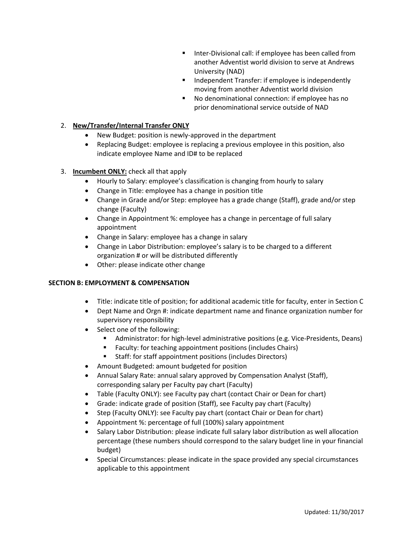- Inter-Divisional call: if employee has been called from another Adventist world division to serve at Andrews University (NAD)
- **IF Independent Transfer: if employee is independently** moving from another Adventist world division
- No denominational connection: if employee has no prior denominational service outside of NAD

#### 2. **New/Transfer/Internal Transfer ONLY**

- New Budget: position is newly-approved in the department
- Replacing Budget: employee is replacing a previous employee in this position, also indicate employee Name and ID# to be replaced

#### 3. **Incumbent ONLY:** check all that apply

- Hourly to Salary: employee's classification is changing from hourly to salary
- Change in Title: employee has a change in position title
- Change in Grade and/or Step: employee has a grade change (Staff), grade and/or step change (Faculty)
- Change in Appointment %: employee has a change in percentage of full salary appointment
- Change in Salary: employee has a change in salary
- Change in Labor Distribution: employee's salary is to be charged to a different organization # or will be distributed differently
- Other: please indicate other change

#### **SECTION B: EMPLOYMENT & COMPENSATION**

- Title: indicate title of position; for additional academic title for faculty, enter in Section C
- Dept Name and Orgn #: indicate department name and finance organization number for supervisory responsibility
- Select one of the following:
	- Administrator: for high-level administrative positions (e.g. Vice-Presidents, Deans)
	- **Faculty: for teaching appointment positions (includes Chairs)**
	- **Staff: for staff appointment positions (includes Directors)**
- Amount Budgeted: amount budgeted for position
- Annual Salary Rate: annual salary approved by Compensation Analyst (Staff), corresponding salary per Faculty pay chart (Faculty)
- Table (Faculty ONLY): see Faculty pay chart (contact Chair or Dean for chart)
- Grade: indicate grade of position (Staff), see Faculty pay chart (Faculty)
- Step (Faculty ONLY): see Faculty pay chart (contact Chair or Dean for chart)
- Appointment %: percentage of full (100%) salary appointment
- Salary Labor Distribution: please indicate full salary labor distribution as well allocation percentage (these numbers should correspond to the salary budget line in your financial budget)
- Special Circumstances: please indicate in the space provided any special circumstances applicable to this appointment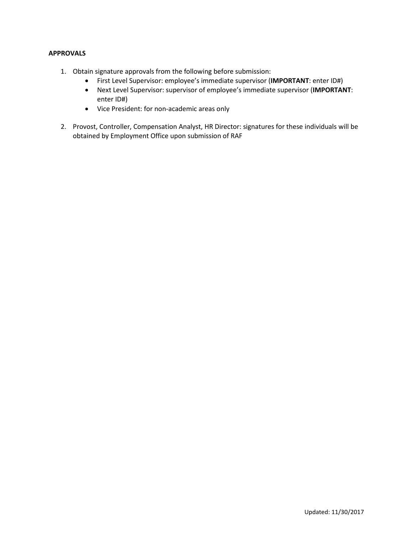#### **APPROVALS**

- 1. Obtain signature approvals from the following before submission:
	- First Level Supervisor: employee's immediate supervisor (**IMPORTANT**: enter ID#)
	- Next Level Supervisor: supervisor of employee's immediate supervisor (**IMPORTANT**: enter ID#)
	- Vice President: for non-academic areas only
- 2. Provost, Controller, Compensation Analyst, HR Director: signatures for these individuals will be obtained by Employment Office upon submission of RAF